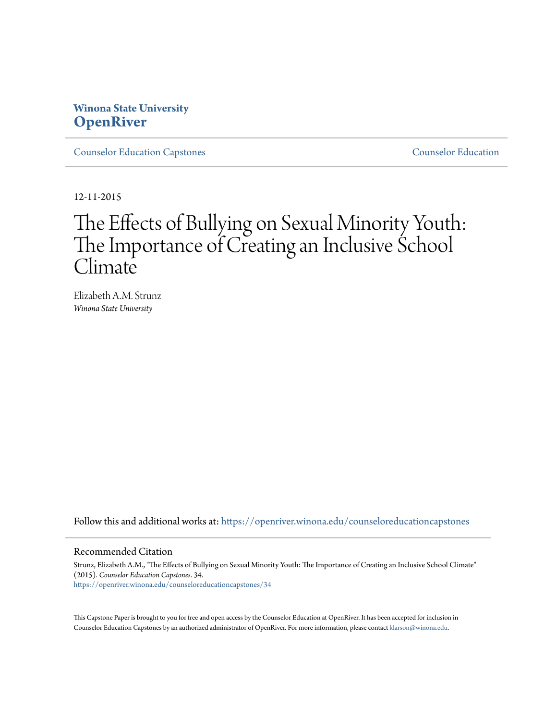## **Winona State University [OpenRiver](https://openriver.winona.edu?utm_source=openriver.winona.edu%2Fcounseloreducationcapstones%2F34&utm_medium=PDF&utm_campaign=PDFCoverPages)**

[Counselor Education Capstones](https://openriver.winona.edu/counseloreducationcapstones?utm_source=openriver.winona.edu%2Fcounseloreducationcapstones%2F34&utm_medium=PDF&utm_campaign=PDFCoverPages) [Counselor Education](https://openriver.winona.edu/counseloreducation?utm_source=openriver.winona.edu%2Fcounseloreducationcapstones%2F34&utm_medium=PDF&utm_campaign=PDFCoverPages)

12-11-2015

# The Effects of Bullying on Sexual Minority Youth: The Importance of Creating an Inclusive School **Climate**

Elizabeth A.M. Strunz *Winona State University*

Follow this and additional works at: [https://openriver.winona.edu/counseloreducationcapstones](https://openriver.winona.edu/counseloreducationcapstones?utm_source=openriver.winona.edu%2Fcounseloreducationcapstones%2F34&utm_medium=PDF&utm_campaign=PDFCoverPages)

## Recommended Citation

Strunz, Elizabeth A.M., "The Effects of Bullying on Sexual Minority Youth: The Importance of Creating an Inclusive School Climate" (2015). *Counselor Education Capstones*. 34. [https://openriver.winona.edu/counseloreducationcapstones/34](https://openriver.winona.edu/counseloreducationcapstones/34?utm_source=openriver.winona.edu%2Fcounseloreducationcapstones%2F34&utm_medium=PDF&utm_campaign=PDFCoverPages)

This Capstone Paper is brought to you for free and open access by the Counselor Education at OpenRiver. It has been accepted for inclusion in Counselor Education Capstones by an authorized administrator of OpenRiver. For more information, please contact [klarson@winona.edu](mailto:klarson@winona.edu).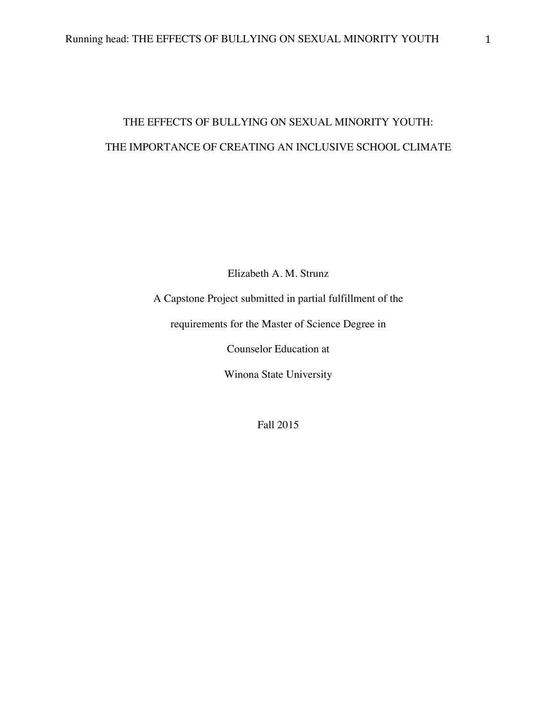## THE EFFECTS OF BULLYING ON SEXUAL MINORITY YOUTH: THE IMPORTANCE OF CREATING AN INCLUSIVE SCHOOL CLIMATE

Elizabeth A. M. Strunz

A Capstone Project submitted in partial fulfillment of the

requirements for the Master of Science Degree in

Counselor Education at

Winona State University

Fall 2015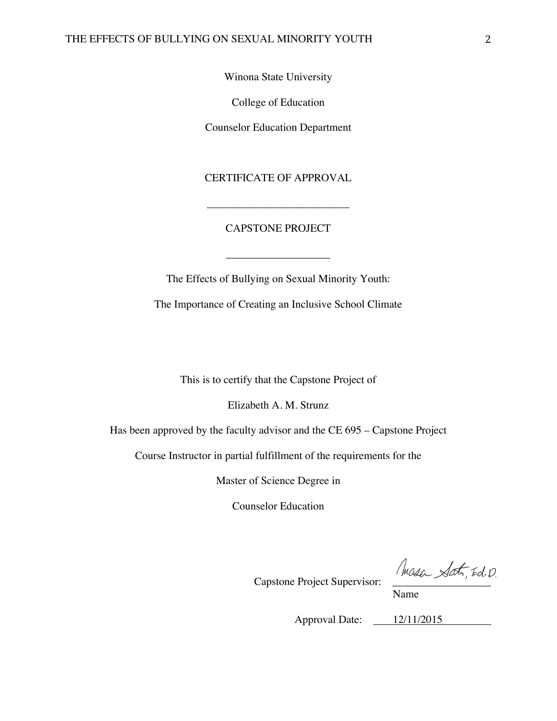Winona State University

College of Education

Counselor Education Department

CERTIFICATE OF APPROVAL

\_\_\_\_\_\_\_\_\_\_\_\_\_\_\_\_\_\_\_\_\_\_\_\_\_\_

## CAPSTONE PROJECT

\_\_\_\_\_\_\_\_\_\_\_\_\_\_\_\_\_\_\_

The Effects of Bullying on Sexual Minority Youth: The Importance of Creating an Inclusive School Climate

This is to certify that the Capstone Project of

Elizabeth A. M. Strunz

Has been approved by the faculty advisor and the CE 695 – Capstone Project

Course Instructor in partial fulfillment of the requirements for the

Master of Science Degree in

Counselor Education

Capstone Project Supervisor: Massa Sat, Ed. D.

Name

Approval Date: 12/11/2015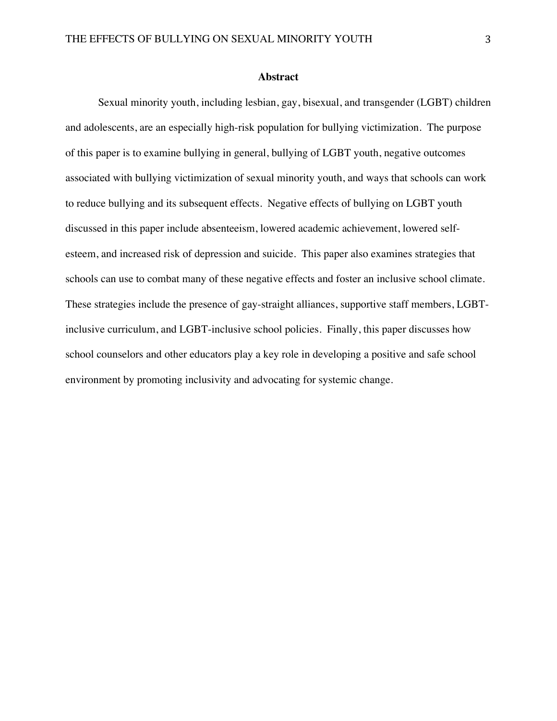#### **Abstract**

Sexual minority youth, including lesbian, gay, bisexual, and transgender (LGBT) children and adolescents, are an especially high-risk population for bullying victimization. The purpose of this paper is to examine bullying in general, bullying of LGBT youth, negative outcomes associated with bullying victimization of sexual minority youth, and ways that schools can work to reduce bullying and its subsequent effects. Negative effects of bullying on LGBT youth discussed in this paper include absenteeism, lowered academic achievement, lowered selfesteem, and increased risk of depression and suicide. This paper also examines strategies that schools can use to combat many of these negative effects and foster an inclusive school climate. These strategies include the presence of gay-straight alliances, supportive staff members, LGBTinclusive curriculum, and LGBT-inclusive school policies. Finally, this paper discusses how school counselors and other educators play a key role in developing a positive and safe school environment by promoting inclusivity and advocating for systemic change.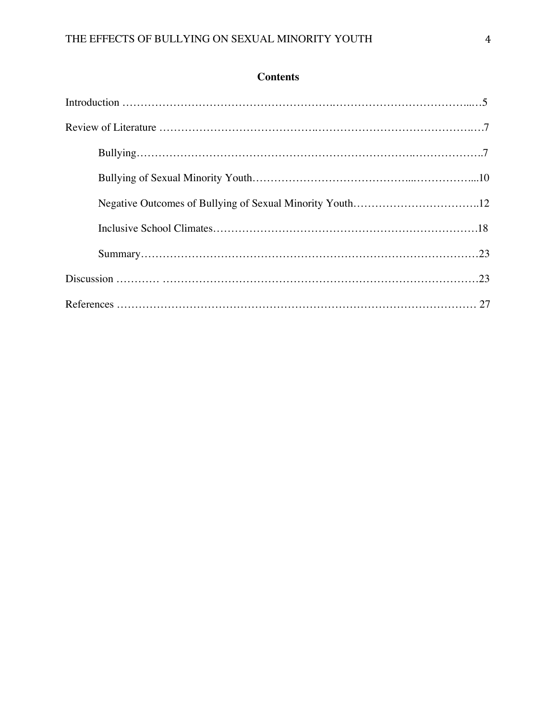## **Contents**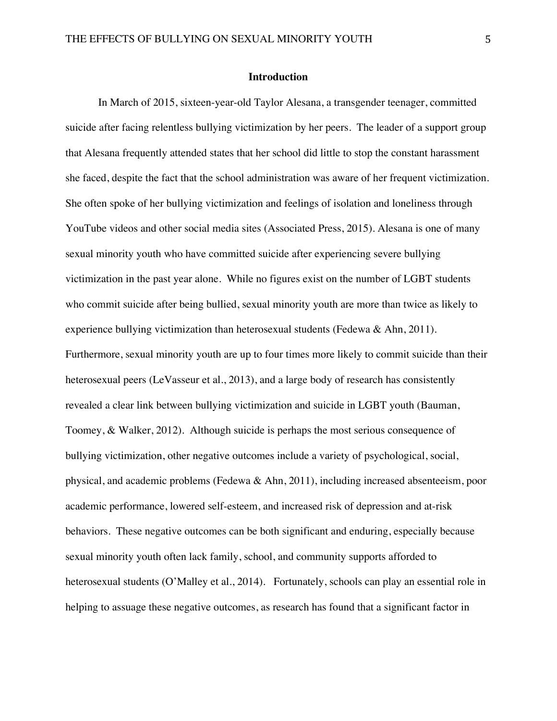## **Introduction**

In March of 2015, sixteen-year-old Taylor Alesana, a transgender teenager, committed suicide after facing relentless bullying victimization by her peers. The leader of a support group that Alesana frequently attended states that her school did little to stop the constant harassment she faced, despite the fact that the school administration was aware of her frequent victimization. She often spoke of her bullying victimization and feelings of isolation and loneliness through YouTube videos and other social media sites (Associated Press, 2015). Alesana is one of many sexual minority youth who have committed suicide after experiencing severe bullying victimization in the past year alone. While no figures exist on the number of LGBT students who commit suicide after being bullied, sexual minority youth are more than twice as likely to experience bullying victimization than heterosexual students (Fedewa & Ahn, 2011). Furthermore, sexual minority youth are up to four times more likely to commit suicide than their heterosexual peers (LeVasseur et al., 2013), and a large body of research has consistently revealed a clear link between bullying victimization and suicide in LGBT youth (Bauman, Toomey, & Walker, 2012). Although suicide is perhaps the most serious consequence of bullying victimization, other negative outcomes include a variety of psychological, social, physical, and academic problems (Fedewa & Ahn, 2011), including increased absenteeism, poor academic performance, lowered self-esteem, and increased risk of depression and at-risk behaviors. These negative outcomes can be both significant and enduring, especially because sexual minority youth often lack family, school, and community supports afforded to heterosexual students (O'Malley et al., 2014). Fortunately, schools can play an essential role in helping to assuage these negative outcomes, as research has found that a significant factor in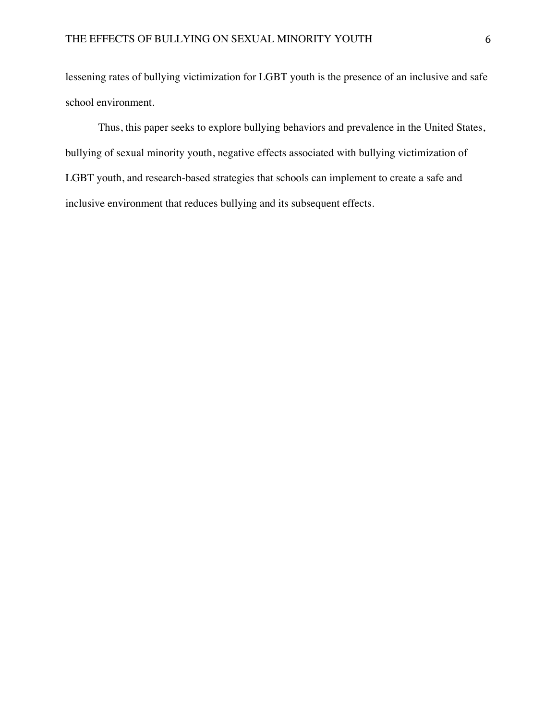lessening rates of bullying victimization for LGBT youth is the presence of an inclusive and safe school environment.

Thus, this paper seeks to explore bullying behaviors and prevalence in the United States, bullying of sexual minority youth, negative effects associated with bullying victimization of LGBT youth, and research-based strategies that schools can implement to create a safe and inclusive environment that reduces bullying and its subsequent effects.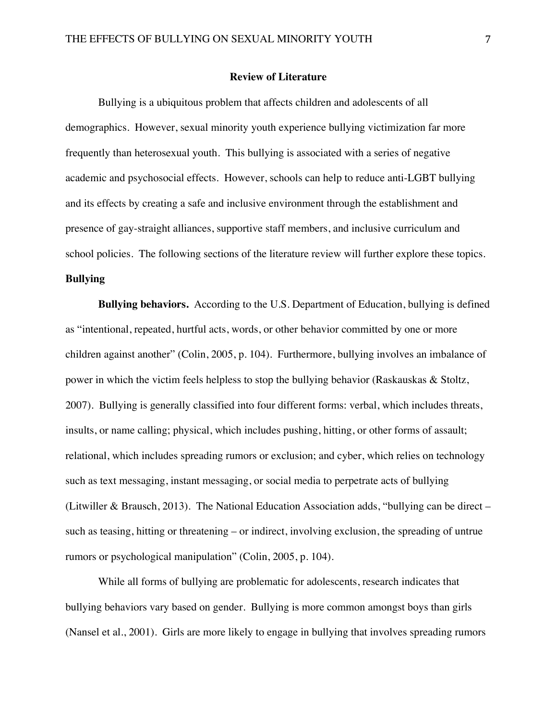## **Review of Literature**

Bullying is a ubiquitous problem that affects children and adolescents of all demographics. However, sexual minority youth experience bullying victimization far more frequently than heterosexual youth. This bullying is associated with a series of negative academic and psychosocial effects. However, schools can help to reduce anti-LGBT bullying and its effects by creating a safe and inclusive environment through the establishment and presence of gay-straight alliances, supportive staff members, and inclusive curriculum and school policies. The following sections of the literature review will further explore these topics. **Bullying**

**Bullying behaviors.** According to the U.S. Department of Education, bullying is defined as "intentional, repeated, hurtful acts, words, or other behavior committed by one or more children against another" (Colin, 2005, p. 104). Furthermore, bullying involves an imbalance of power in which the victim feels helpless to stop the bullying behavior (Raskauskas & Stoltz, 2007). Bullying is generally classified into four different forms: verbal, which includes threats, insults, or name calling; physical, which includes pushing, hitting, or other forms of assault; relational, which includes spreading rumors or exclusion; and cyber, which relies on technology such as text messaging, instant messaging, or social media to perpetrate acts of bullying (Litwiller & Brausch, 2013). The National Education Association adds, "bullying can be direct – such as teasing, hitting or threatening – or indirect, involving exclusion, the spreading of untrue rumors or psychological manipulation" (Colin, 2005, p. 104).

While all forms of bullying are problematic for adolescents, research indicates that bullying behaviors vary based on gender. Bullying is more common amongst boys than girls (Nansel et al., 2001). Girls are more likely to engage in bullying that involves spreading rumors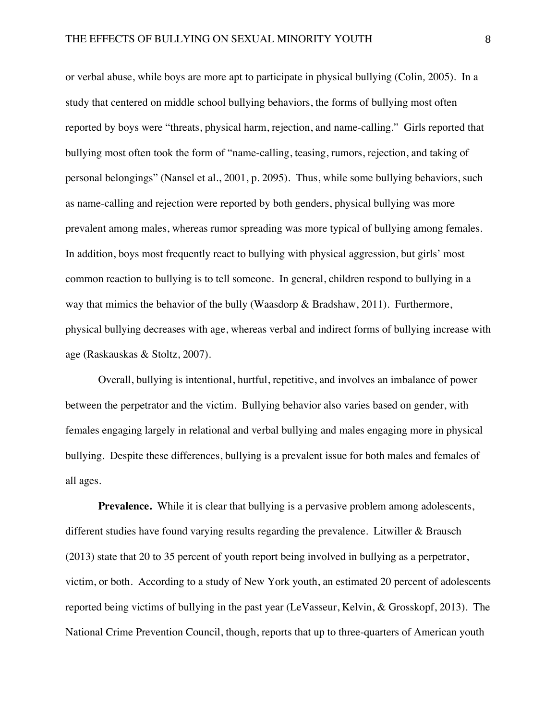or verbal abuse, while boys are more apt to participate in physical bullying (Colin*,* 2005). In a study that centered on middle school bullying behaviors, the forms of bullying most often reported by boys were "threats, physical harm, rejection, and name-calling." Girls reported that bullying most often took the form of "name-calling, teasing, rumors, rejection, and taking of personal belongings" (Nansel et al., 2001, p. 2095). Thus, while some bullying behaviors, such as name-calling and rejection were reported by both genders, physical bullying was more prevalent among males, whereas rumor spreading was more typical of bullying among females. In addition, boys most frequently react to bullying with physical aggression, but girls' most common reaction to bullying is to tell someone. In general, children respond to bullying in a way that mimics the behavior of the bully (Waasdorp & Bradshaw, 2011). Furthermore, physical bullying decreases with age, whereas verbal and indirect forms of bullying increase with age (Raskauskas & Stoltz, 2007).

Overall, bullying is intentional, hurtful, repetitive, and involves an imbalance of power between the perpetrator and the victim. Bullying behavior also varies based on gender, with females engaging largely in relational and verbal bullying and males engaging more in physical bullying. Despite these differences, bullying is a prevalent issue for both males and females of all ages.

**Prevalence.** While it is clear that bullying is a pervasive problem among adolescents, different studies have found varying results regarding the prevalence. Litwiller & Brausch (2013) state that 20 to 35 percent of youth report being involved in bullying as a perpetrator, victim, or both. According to a study of New York youth, an estimated 20 percent of adolescents reported being victims of bullying in the past year (LeVasseur, Kelvin, & Grosskopf, 2013). The National Crime Prevention Council, though, reports that up to three-quarters of American youth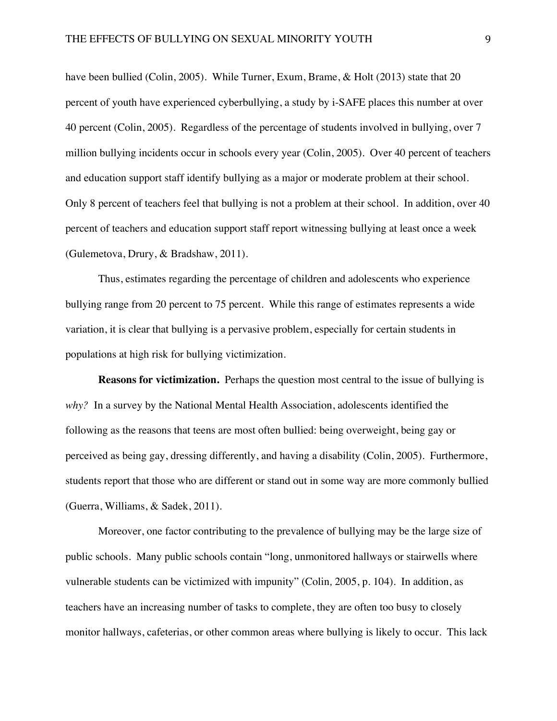have been bullied (Colin, 2005). While Turner, Exum, Brame, & Holt (2013) state that 20 percent of youth have experienced cyberbullying, a study by i-SAFE places this number at over 40 percent (Colin, 2005). Regardless of the percentage of students involved in bullying, over 7 million bullying incidents occur in schools every year (Colin, 2005). Over 40 percent of teachers and education support staff identify bullying as a major or moderate problem at their school. Only 8 percent of teachers feel that bullying is not a problem at their school. In addition, over 40 percent of teachers and education support staff report witnessing bullying at least once a week (Gulemetova, Drury, & Bradshaw, 2011).

Thus, estimates regarding the percentage of children and adolescents who experience bullying range from 20 percent to 75 percent. While this range of estimates represents a wide variation, it is clear that bullying is a pervasive problem, especially for certain students in populations at high risk for bullying victimization.

**Reasons for victimization.** Perhaps the question most central to the issue of bullying is *why?* In a survey by the National Mental Health Association, adolescents identified the following as the reasons that teens are most often bullied: being overweight, being gay or perceived as being gay, dressing differently, and having a disability (Colin, 2005). Furthermore, students report that those who are different or stand out in some way are more commonly bullied (Guerra, Williams, & Sadek, 2011).

Moreover, one factor contributing to the prevalence of bullying may be the large size of public schools. Many public schools contain "long, unmonitored hallways or stairwells where vulnerable students can be victimized with impunity" (Colin*,* 2005, p. 104). In addition, as teachers have an increasing number of tasks to complete, they are often too busy to closely monitor hallways, cafeterias, or other common areas where bullying is likely to occur. This lack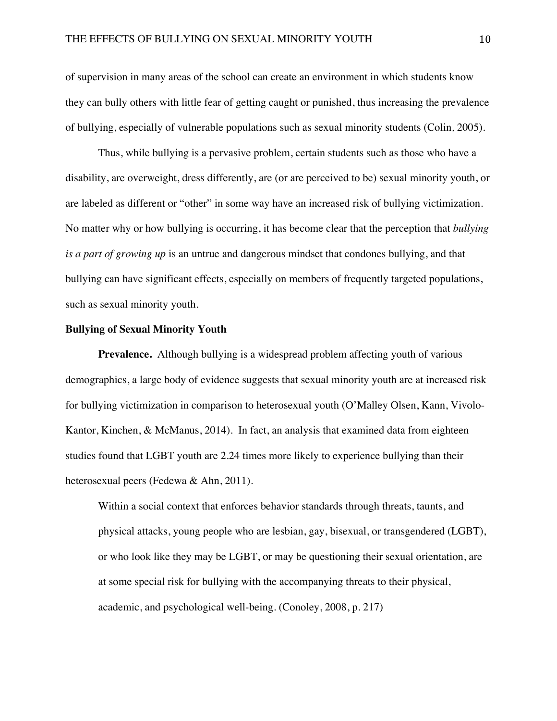of supervision in many areas of the school can create an environment in which students know they can bully others with little fear of getting caught or punished, thus increasing the prevalence of bullying, especially of vulnerable populations such as sexual minority students (Colin*,* 2005).

Thus, while bullying is a pervasive problem, certain students such as those who have a disability, are overweight, dress differently, are (or are perceived to be) sexual minority youth, or are labeled as different or "other" in some way have an increased risk of bullying victimization. No matter why or how bullying is occurring, it has become clear that the perception that *bullying is a part of growing up* is an untrue and dangerous mindset that condones bullying, and that bullying can have significant effects, especially on members of frequently targeted populations, such as sexual minority youth.

## **Bullying of Sexual Minority Youth**

**Prevalence.** Although bullying is a widespread problem affecting youth of various demographics, a large body of evidence suggests that sexual minority youth are at increased risk for bullying victimization in comparison to heterosexual youth (O'Malley Olsen, Kann, Vivolo-Kantor, Kinchen, & McManus, 2014). In fact, an analysis that examined data from eighteen studies found that LGBT youth are 2.24 times more likely to experience bullying than their heterosexual peers (Fedewa & Ahn, 2011).

Within a social context that enforces behavior standards through threats, taunts, and physical attacks, young people who are lesbian, gay, bisexual, or transgendered (LGBT), or who look like they may be LGBT, or may be questioning their sexual orientation, are at some special risk for bullying with the accompanying threats to their physical, academic, and psychological well-being. (Conoley, 2008, p. 217)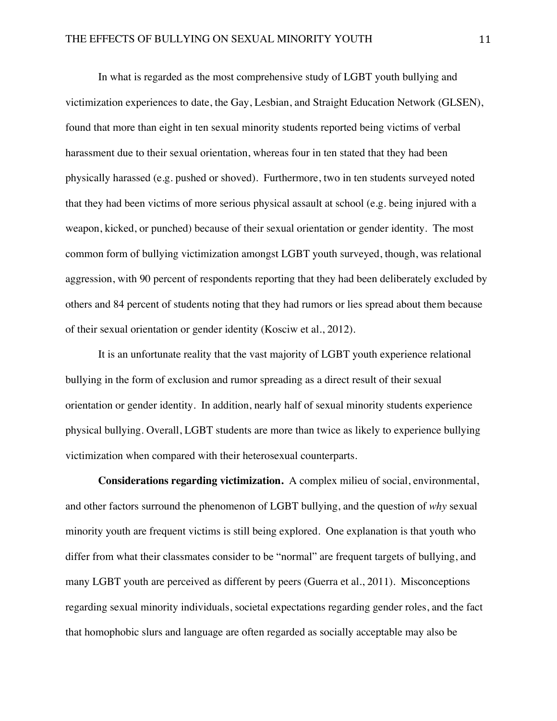In what is regarded as the most comprehensive study of LGBT youth bullying and victimization experiences to date, the Gay, Lesbian, and Straight Education Network (GLSEN), found that more than eight in ten sexual minority students reported being victims of verbal harassment due to their sexual orientation, whereas four in ten stated that they had been physically harassed (e.g. pushed or shoved). Furthermore, two in ten students surveyed noted that they had been victims of more serious physical assault at school (e.g. being injured with a weapon, kicked, or punched) because of their sexual orientation or gender identity. The most common form of bullying victimization amongst LGBT youth surveyed, though, was relational aggression, with 90 percent of respondents reporting that they had been deliberately excluded by others and 84 percent of students noting that they had rumors or lies spread about them because of their sexual orientation or gender identity (Kosciw et al., 2012).

It is an unfortunate reality that the vast majority of LGBT youth experience relational bullying in the form of exclusion and rumor spreading as a direct result of their sexual orientation or gender identity. In addition, nearly half of sexual minority students experience physical bullying. Overall, LGBT students are more than twice as likely to experience bullying victimization when compared with their heterosexual counterparts.

**Considerations regarding victimization.** A complex milieu of social, environmental, and other factors surround the phenomenon of LGBT bullying, and the question of *why* sexual minority youth are frequent victims is still being explored. One explanation is that youth who differ from what their classmates consider to be "normal" are frequent targets of bullying, and many LGBT youth are perceived as different by peers (Guerra et al., 2011). Misconceptions regarding sexual minority individuals, societal expectations regarding gender roles, and the fact that homophobic slurs and language are often regarded as socially acceptable may also be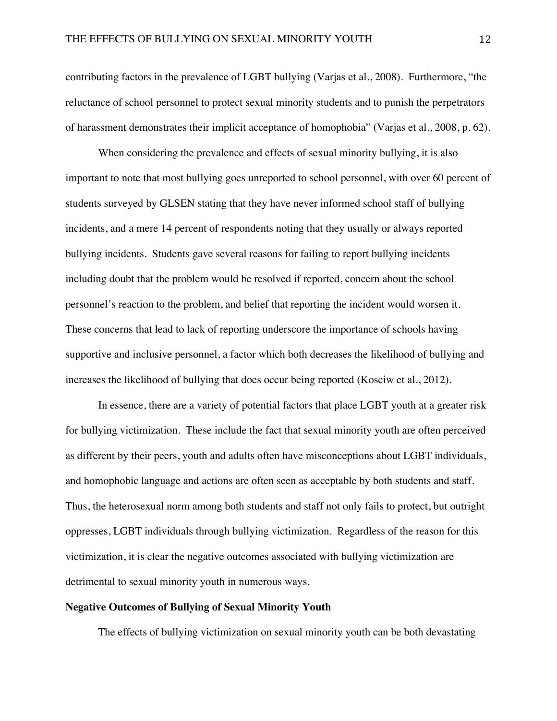contributing factors in the prevalence of LGBT bullying (Varjas et al., 2008). Furthermore, "the reluctance of school personnel to protect sexual minority students and to punish the perpetrators of harassment demonstrates their implicit acceptance of homophobia" (Varjas et al., 2008, p. 62).

When considering the prevalence and effects of sexual minority bullying, it is also important to note that most bullying goes unreported to school personnel, with over 60 percent of students surveyed by GLSEN stating that they have never informed school staff of bullying incidents, and a mere 14 percent of respondents noting that they usually or always reported bullying incidents. Students gave several reasons for failing to report bullying incidents including doubt that the problem would be resolved if reported, concern about the school personnel's reaction to the problem, and belief that reporting the incident would worsen it. These concerns that lead to lack of reporting underscore the importance of schools having supportive and inclusive personnel, a factor which both decreases the likelihood of bullying and increases the likelihood of bullying that does occur being reported (Kosciw et al., 2012).

In essence, there are a variety of potential factors that place LGBT youth at a greater risk for bullying victimization. These include the fact that sexual minority youth are often perceived as different by their peers, youth and adults often have misconceptions about LGBT individuals, and homophobic language and actions are often seen as acceptable by both students and staff. Thus, the heterosexual norm among both students and staff not only fails to protect, but outright oppresses, LGBT individuals through bullying victimization. Regardless of the reason for this victimization, it is clear the negative outcomes associated with bullying victimization are detrimental to sexual minority youth in numerous ways.

## **Negative Outcomes of Bullying of Sexual Minority Youth**

The effects of bullying victimization on sexual minority youth can be both devastating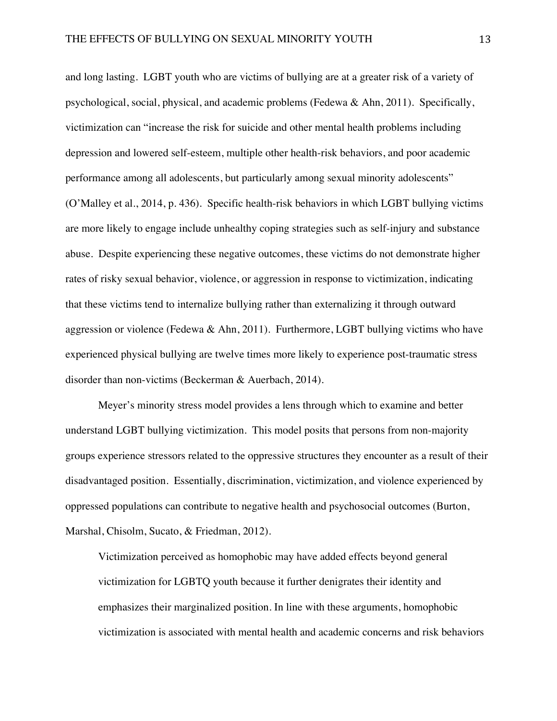and long lasting. LGBT youth who are victims of bullying are at a greater risk of a variety of psychological, social, physical, and academic problems (Fedewa & Ahn, 2011). Specifically, victimization can "increase the risk for suicide and other mental health problems including depression and lowered self-esteem, multiple other health-risk behaviors, and poor academic performance among all adolescents, but particularly among sexual minority adolescents" (O'Malley et al., 2014, p. 436). Specific health-risk behaviors in which LGBT bullying victims are more likely to engage include unhealthy coping strategies such as self-injury and substance abuse. Despite experiencing these negative outcomes, these victims do not demonstrate higher rates of risky sexual behavior, violence, or aggression in response to victimization, indicating that these victims tend to internalize bullying rather than externalizing it through outward aggression or violence (Fedewa & Ahn, 2011). Furthermore, LGBT bullying victims who have experienced physical bullying are twelve times more likely to experience post-traumatic stress disorder than non-victims (Beckerman & Auerbach, 2014).

Meyer's minority stress model provides a lens through which to examine and better understand LGBT bullying victimization. This model posits that persons from non-majority groups experience stressors related to the oppressive structures they encounter as a result of their disadvantaged position. Essentially, discrimination, victimization, and violence experienced by oppressed populations can contribute to negative health and psychosocial outcomes (Burton, Marshal, Chisolm, Sucato, & Friedman, 2012).

Victimization perceived as homophobic may have added effects beyond general victimization for LGBTQ youth because it further denigrates their identity and emphasizes their marginalized position. In line with these arguments, homophobic victimization is associated with mental health and academic concerns and risk behaviors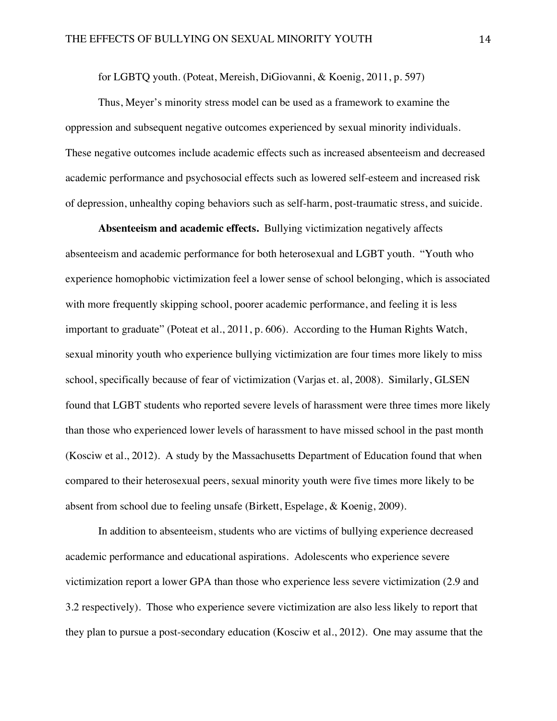for LGBTQ youth. (Poteat, Mereish, DiGiovanni, & Koenig, 2011, p. 597)

Thus, Meyer's minority stress model can be used as a framework to examine the oppression and subsequent negative outcomes experienced by sexual minority individuals. These negative outcomes include academic effects such as increased absenteeism and decreased academic performance and psychosocial effects such as lowered self-esteem and increased risk of depression, unhealthy coping behaviors such as self-harm, post-traumatic stress, and suicide.

**Absenteeism and academic effects.** Bullying victimization negatively affects absenteeism and academic performance for both heterosexual and LGBT youth. "Youth who experience homophobic victimization feel a lower sense of school belonging, which is associated with more frequently skipping school, poorer academic performance, and feeling it is less important to graduate" (Poteat et al., 2011, p. 606). According to the Human Rights Watch, sexual minority youth who experience bullying victimization are four times more likely to miss school, specifically because of fear of victimization (Varjas et. al, 2008). Similarly, GLSEN found that LGBT students who reported severe levels of harassment were three times more likely than those who experienced lower levels of harassment to have missed school in the past month (Kosciw et al., 2012).A study by the Massachusetts Department of Education found that when compared to their heterosexual peers, sexual minority youth were five times more likely to be absent from school due to feeling unsafe (Birkett, Espelage, & Koenig, 2009).

In addition to absenteeism, students who are victims of bullying experience decreased academic performance and educational aspirations. Adolescents who experience severe victimization report a lower GPA than those who experience less severe victimization (2.9 and 3.2 respectively). Those who experience severe victimization are also less likely to report that they plan to pursue a post-secondary education (Kosciw et al., 2012).One may assume that the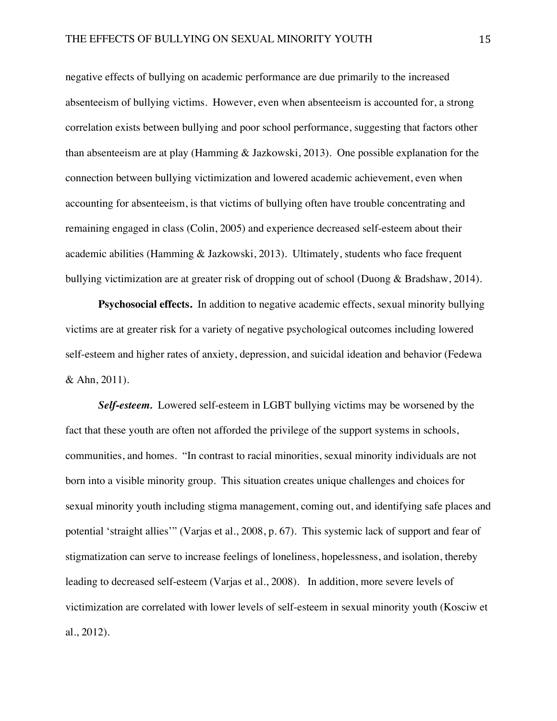negative effects of bullying on academic performance are due primarily to the increased absenteeism of bullying victims. However, even when absenteeism is accounted for, a strong correlation exists between bullying and poor school performance, suggesting that factors other than absenteeism are at play (Hamming & Jazkowski, 2013). One possible explanation for the connection between bullying victimization and lowered academic achievement, even when accounting for absenteeism, is that victims of bullying often have trouble concentrating and remaining engaged in class (Colin, 2005) and experience decreased self-esteem about their academic abilities (Hamming & Jazkowski, 2013). Ultimately, students who face frequent bullying victimization are at greater risk of dropping out of school (Duong & Bradshaw, 2014).

**Psychosocial effects.** In addition to negative academic effects, sexual minority bullying victims are at greater risk for a variety of negative psychological outcomes including lowered self-esteem and higher rates of anxiety, depression, and suicidal ideation and behavior (Fedewa & Ahn, 2011).

*Self-esteem.*Lowered self-esteem in LGBT bullying victims may be worsened by the fact that these youth are often not afforded the privilege of the support systems in schools, communities, and homes. "In contrast to racial minorities, sexual minority individuals are not born into a visible minority group. This situation creates unique challenges and choices for sexual minority youth including stigma management, coming out, and identifying safe places and potential 'straight allies'" (Varjas et al., 2008, p. 67). This systemic lack of support and fear of stigmatization can serve to increase feelings of loneliness, hopelessness, and isolation, thereby leading to decreased self-esteem (Varjas et al., 2008). In addition, more severe levels of victimization are correlated with lower levels of self-esteem in sexual minority youth (Kosciw et al., 2012).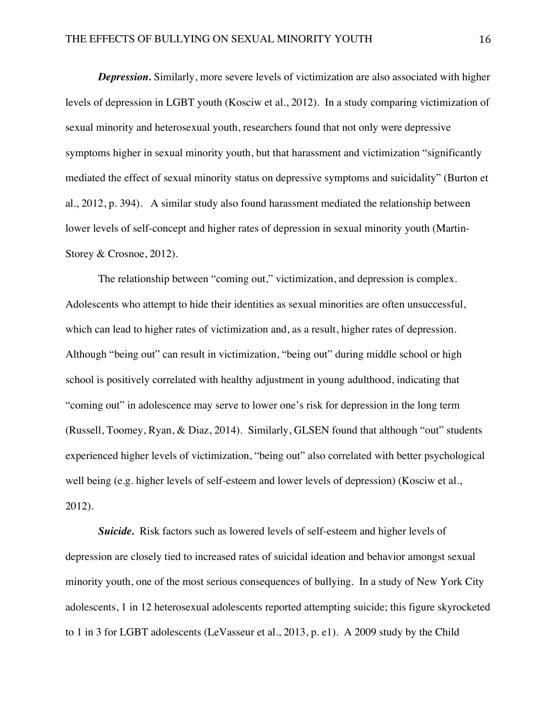*Depression.* Similarly, more severe levels of victimization are also associated with higher levels of depression in LGBT youth (Kosciw et al., 2012). In a study comparing victimization of sexual minority and heterosexual youth, researchers found that not only were depressive symptoms higher in sexual minority youth, but that harassment and victimization "significantly mediated the effect of sexual minority status on depressive symptoms and suicidality" (Burton et al., 2012, p. 394). A similar study also found harassment mediated the relationship between lower levels of self-concept and higher rates of depression in sexual minority youth (Martin-Storey & Crosnoe, 2012).

The relationship between "coming out," victimization, and depression is complex. Adolescents who attempt to hide their identities as sexual minorities are often unsuccessful, which can lead to higher rates of victimization and, as a result, higher rates of depression. Although "being out" can result in victimization, "being out" during middle school or high school is positively correlated with healthy adjustment in young adulthood, indicating that "coming out" in adolescence may serve to lower one's risk for depression in the long term (Russell, Toomey, Ryan, & Diaz, 2014). Similarly, GLSEN found that although "out" students experienced higher levels of victimization, "being out" also correlated with better psychological well being (e.g. higher levels of self-esteem and lower levels of depression) (Kosciw et al., 2012).

*Suicide.* Risk factors such as lowered levels of self-esteem and higher levels of depression are closely tied to increased rates of suicidal ideation and behavior amongst sexual minority youth, one of the most serious consequences of bullying. In a study of New York City adolescents, 1 in 12 heterosexual adolescents reported attempting suicide; this figure skyrocketed to 1 in 3 for LGBT adolescents (LeVasseur et al., 2013, p. e1). A 2009 study by the Child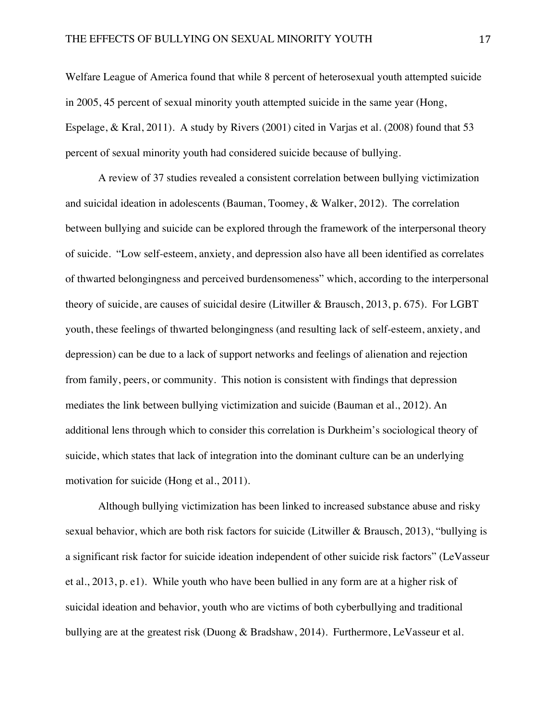Welfare League of America found that while 8 percent of heterosexual youth attempted suicide in 2005, 45 percent of sexual minority youth attempted suicide in the same year (Hong, Espelage, & Kral, 2011). A study by Rivers (2001) cited in Varjas et al. (2008) found that 53 percent of sexual minority youth had considered suicide because of bullying.

A review of 37 studies revealed a consistent correlation between bullying victimization and suicidal ideation in adolescents (Bauman, Toomey, & Walker, 2012). The correlation between bullying and suicide can be explored through the framework of the interpersonal theory of suicide. "Low self-esteem, anxiety, and depression also have all been identified as correlates of thwarted belongingness and perceived burdensomeness" which, according to the interpersonal theory of suicide, are causes of suicidal desire (Litwiller & Brausch, 2013, p. 675). For LGBT youth, these feelings of thwarted belongingness (and resulting lack of self-esteem, anxiety, and depression) can be due to a lack of support networks and feelings of alienation and rejection from family, peers, or community. This notion is consistent with findings that depression mediates the link between bullying victimization and suicide (Bauman et al., 2012). An additional lens through which to consider this correlation is Durkheim's sociological theory of suicide, which states that lack of integration into the dominant culture can be an underlying motivation for suicide (Hong et al., 2011).

Although bullying victimization has been linked to increased substance abuse and risky sexual behavior, which are both risk factors for suicide (Litwiller & Brausch, 2013), "bullying is a significant risk factor for suicide ideation independent of other suicide risk factors" (LeVasseur et al., 2013, p. e1). While youth who have been bullied in any form are at a higher risk of suicidal ideation and behavior, youth who are victims of both cyberbullying and traditional bullying are at the greatest risk (Duong & Bradshaw, 2014). Furthermore, LeVasseur et al.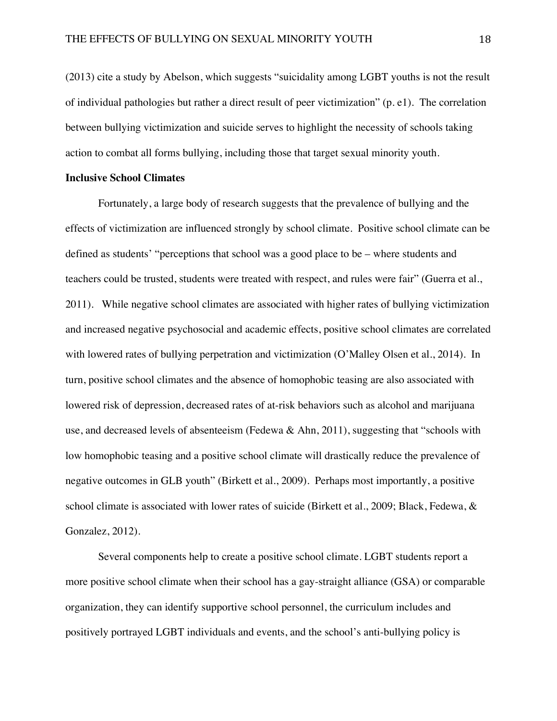(2013) cite a study by Abelson, which suggests "suicidality among LGBT youths is not the result of individual pathologies but rather a direct result of peer victimization" (p. e1). The correlation between bullying victimization and suicide serves to highlight the necessity of schools taking action to combat all forms bullying, including those that target sexual minority youth.

## **Inclusive School Climates**

Fortunately, a large body of research suggests that the prevalence of bullying and the effects of victimization are influenced strongly by school climate. Positive school climate can be defined as students' "perceptions that school was a good place to be – where students and teachers could be trusted, students were treated with respect, and rules were fair" (Guerra et al., 2011). While negative school climates are associated with higher rates of bullying victimization and increased negative psychosocial and academic effects, positive school climates are correlated with lowered rates of bullying perpetration and victimization (O'Malley Olsen et al., 2014). In turn, positive school climates and the absence of homophobic teasing are also associated with lowered risk of depression, decreased rates of at-risk behaviors such as alcohol and marijuana use, and decreased levels of absenteeism (Fedewa & Ahn, 2011), suggesting that "schools with low homophobic teasing and a positive school climate will drastically reduce the prevalence of negative outcomes in GLB youth" (Birkett et al., 2009). Perhaps most importantly, a positive school climate is associated with lower rates of suicide (Birkett et al., 2009; Black, Fedewa, & Gonzalez, 2012).

Several components help to create a positive school climate. LGBT students report a more positive school climate when their school has a gay-straight alliance (GSA) or comparable organization, they can identify supportive school personnel, the curriculum includes and positively portrayed LGBT individuals and events, and the school's anti-bullying policy is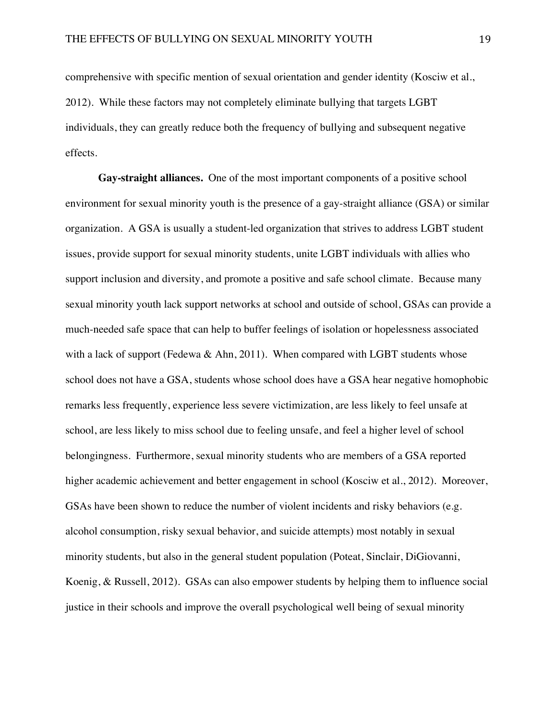comprehensive with specific mention of sexual orientation and gender identity (Kosciw et al., 2012). While these factors may not completely eliminate bullying that targets LGBT individuals, they can greatly reduce both the frequency of bullying and subsequent negative effects.

**Gay-straight alliances.** One of the most important components of a positive school environment for sexual minority youth is the presence of a gay-straight alliance (GSA) or similar organization. A GSA is usually a student-led organization that strives to address LGBT student issues, provide support for sexual minority students, unite LGBT individuals with allies who support inclusion and diversity, and promote a positive and safe school climate. Because many sexual minority youth lack support networks at school and outside of school, GSAs can provide a much-needed safe space that can help to buffer feelings of isolation or hopelessness associated with a lack of support (Fedewa & Ahn, 2011). When compared with LGBT students whose school does not have a GSA, students whose school does have a GSA hear negative homophobic remarks less frequently, experience less severe victimization, are less likely to feel unsafe at school, are less likely to miss school due to feeling unsafe, and feel a higher level of school belongingness. Furthermore, sexual minority students who are members of a GSA reported higher academic achievement and better engagement in school (Kosciw et al., 2012). Moreover, GSAs have been shown to reduce the number of violent incidents and risky behaviors (e.g. alcohol consumption, risky sexual behavior, and suicide attempts) most notably in sexual minority students, but also in the general student population (Poteat, Sinclair, DiGiovanni, Koenig, & Russell, 2012). GSAs can also empower students by helping them to influence social justice in their schools and improve the overall psychological well being of sexual minority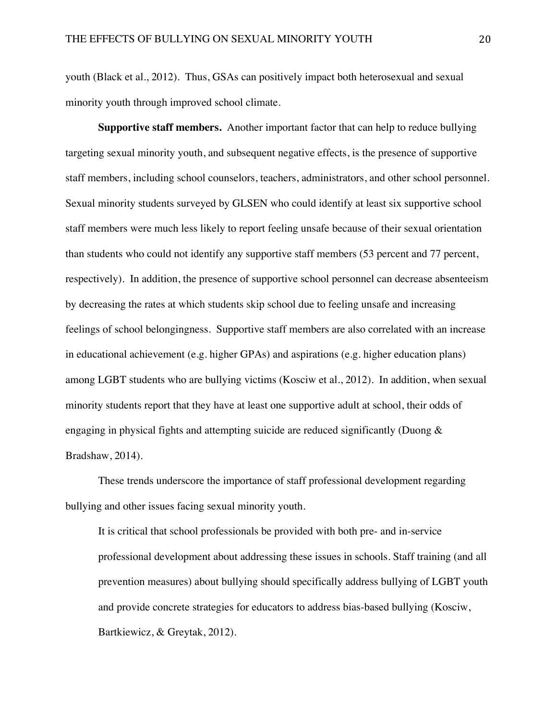youth (Black et al., 2012). Thus, GSAs can positively impact both heterosexual and sexual minority youth through improved school climate.

**Supportive staff members.** Another important factor that can help to reduce bullying targeting sexual minority youth, and subsequent negative effects, is the presence of supportive staff members, including school counselors, teachers, administrators, and other school personnel. Sexual minority students surveyed by GLSEN who could identify at least six supportive school staff members were much less likely to report feeling unsafe because of their sexual orientation than students who could not identify any supportive staff members (53 percent and 77 percent, respectively). In addition, the presence of supportive school personnel can decrease absenteeism by decreasing the rates at which students skip school due to feeling unsafe and increasing feelings of school belongingness. Supportive staff members are also correlated with an increase in educational achievement (e.g. higher GPAs) and aspirations (e.g. higher education plans) among LGBT students who are bullying victims (Kosciw et al., 2012). In addition, when sexual minority students report that they have at least one supportive adult at school, their odds of engaging in physical fights and attempting suicide are reduced significantly (Duong & Bradshaw, 2014).

These trends underscore the importance of staff professional development regarding bullying and other issues facing sexual minority youth.

It is critical that school professionals be provided with both pre- and in-service professional development about addressing these issues in schools. Staff training (and all prevention measures) about bullying should specifically address bullying of LGBT youth and provide concrete strategies for educators to address bias-based bullying (Kosciw, Bartkiewicz, & Greytak, 2012).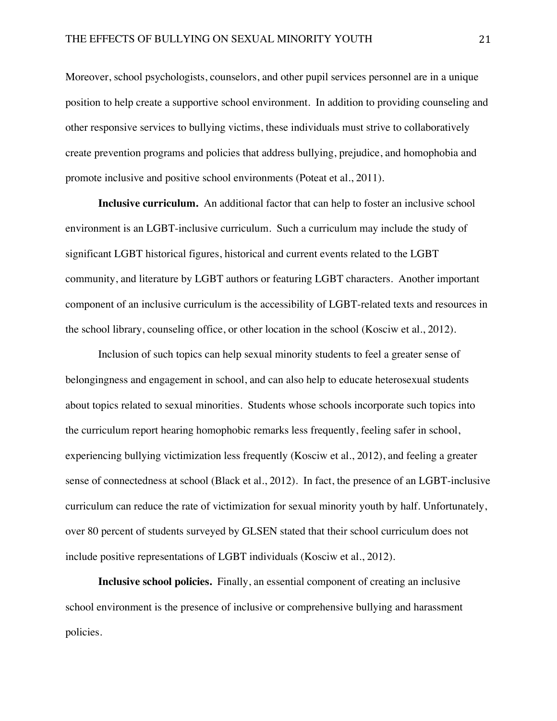Moreover, school psychologists, counselors, and other pupil services personnel are in a unique position to help create a supportive school environment. In addition to providing counseling and other responsive services to bullying victims, these individuals must strive to collaboratively create prevention programs and policies that address bullying, prejudice, and homophobia and promote inclusive and positive school environments (Poteat et al., 2011).

**Inclusive curriculum.** An additional factor that can help to foster an inclusive school environment is an LGBT-inclusive curriculum. Such a curriculum may include the study of significant LGBT historical figures, historical and current events related to the LGBT community, and literature by LGBT authors or featuring LGBT characters. Another important component of an inclusive curriculum is the accessibility of LGBT-related texts and resources in the school library, counseling office, or other location in the school (Kosciw et al., 2012).

Inclusion of such topics can help sexual minority students to feel a greater sense of belongingness and engagement in school, and can also help to educate heterosexual students about topics related to sexual minorities. Students whose schools incorporate such topics into the curriculum report hearing homophobic remarks less frequently, feeling safer in school, experiencing bullying victimization less frequently (Kosciw et al., 2012), and feeling a greater sense of connectedness at school (Black et al., 2012). In fact, the presence of an LGBT-inclusive curriculum can reduce the rate of victimization for sexual minority youth by half. Unfortunately, over 80 percent of students surveyed by GLSEN stated that their school curriculum does not include positive representations of LGBT individuals (Kosciw et al., 2012).

**Inclusive school policies.** Finally, an essential component of creating an inclusive school environment is the presence of inclusive or comprehensive bullying and harassment policies.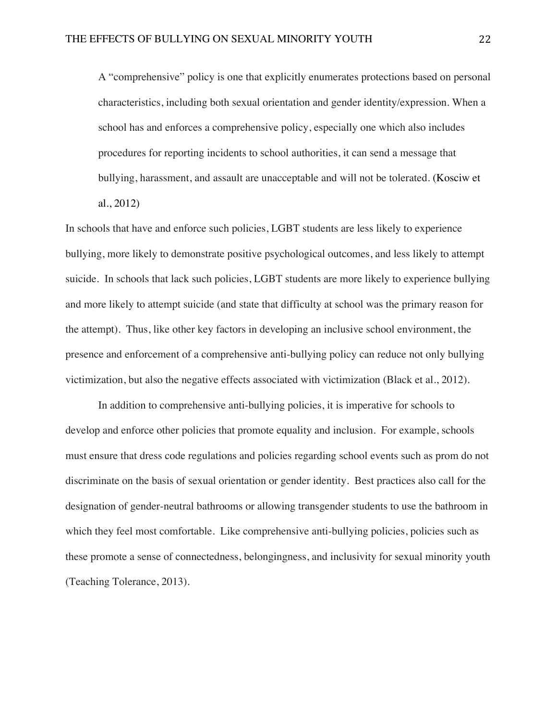A "comprehensive" policy is one that explicitly enumerates protections based on personal characteristics, including both sexual orientation and gender identity/expression. When a school has and enforces a comprehensive policy, especially one which also includes procedures for reporting incidents to school authorities, it can send a message that bullying, harassment, and assault are unacceptable and will not be tolerated. (Kosciw et al., 2012)

In schools that have and enforce such policies, LGBT students are less likely to experience bullying, more likely to demonstrate positive psychological outcomes, and less likely to attempt suicide. In schools that lack such policies, LGBT students are more likely to experience bullying and more likely to attempt suicide (and state that difficulty at school was the primary reason for the attempt). Thus, like other key factors in developing an inclusive school environment, the presence and enforcement of a comprehensive anti-bullying policy can reduce not only bullying victimization, but also the negative effects associated with victimization (Black et al., 2012).

In addition to comprehensive anti-bullying policies, it is imperative for schools to develop and enforce other policies that promote equality and inclusion. For example, schools must ensure that dress code regulations and policies regarding school events such as prom do not discriminate on the basis of sexual orientation or gender identity. Best practices also call for the designation of gender-neutral bathrooms or allowing transgender students to use the bathroom in which they feel most comfortable. Like comprehensive anti-bullying policies, policies such as these promote a sense of connectedness, belongingness, and inclusivity for sexual minority youth (Teaching Tolerance, 2013).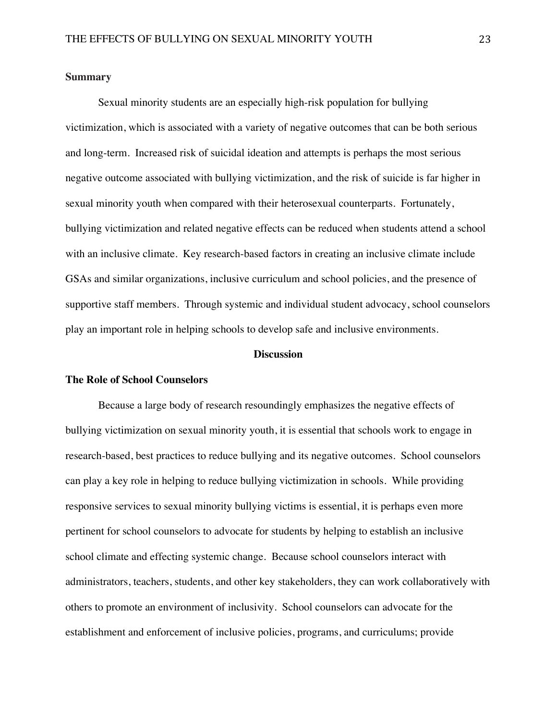#### **Summary**

Sexual minority students are an especially high-risk population for bullying victimization, which is associated with a variety of negative outcomes that can be both serious and long-term. Increased risk of suicidal ideation and attempts is perhaps the most serious negative outcome associated with bullying victimization, and the risk of suicide is far higher in sexual minority youth when compared with their heterosexual counterparts. Fortunately, bullying victimization and related negative effects can be reduced when students attend a school with an inclusive climate. Key research-based factors in creating an inclusive climate include GSAs and similar organizations, inclusive curriculum and school policies, and the presence of supportive staff members. Through systemic and individual student advocacy, school counselors play an important role in helping schools to develop safe and inclusive environments.

#### **Discussion**

## **The Role of School Counselors**

Because a large body of research resoundingly emphasizes the negative effects of bullying victimization on sexual minority youth, it is essential that schools work to engage in research-based, best practices to reduce bullying and its negative outcomes. School counselors can play a key role in helping to reduce bullying victimization in schools. While providing responsive services to sexual minority bullying victims is essential, it is perhaps even more pertinent for school counselors to advocate for students by helping to establish an inclusive school climate and effecting systemic change. Because school counselors interact with administrators, teachers, students, and other key stakeholders, they can work collaboratively with others to promote an environment of inclusivity. School counselors can advocate for the establishment and enforcement of inclusive policies, programs, and curriculums; provide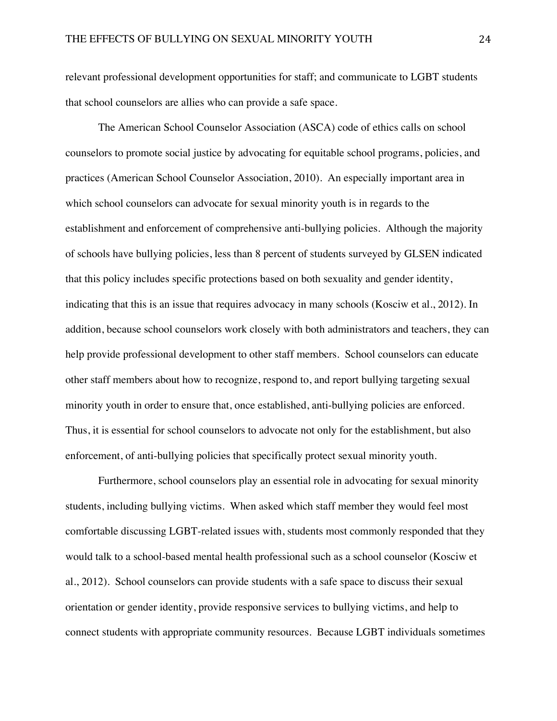relevant professional development opportunities for staff; and communicate to LGBT students that school counselors are allies who can provide a safe space.

The American School Counselor Association (ASCA) code of ethics calls on school counselors to promote social justice by advocating for equitable school programs, policies, and practices (American School Counselor Association, 2010). An especially important area in which school counselors can advocate for sexual minority youth is in regards to the establishment and enforcement of comprehensive anti-bullying policies. Although the majority of schools have bullying policies, less than 8 percent of students surveyed by GLSEN indicated that this policy includes specific protections based on both sexuality and gender identity, indicating that this is an issue that requires advocacy in many schools (Kosciw et al., 2012). In addition, because school counselors work closely with both administrators and teachers, they can help provide professional development to other staff members. School counselors can educate other staff members about how to recognize, respond to, and report bullying targeting sexual minority youth in order to ensure that, once established, anti-bullying policies are enforced. Thus, it is essential for school counselors to advocate not only for the establishment, but also enforcement, of anti-bullying policies that specifically protect sexual minority youth.

Furthermore, school counselors play an essential role in advocating for sexual minority students, including bullying victims. When asked which staff member they would feel most comfortable discussing LGBT-related issues with, students most commonly responded that they would talk to a school-based mental health professional such as a school counselor (Kosciw et al., 2012). School counselors can provide students with a safe space to discuss their sexual orientation or gender identity, provide responsive services to bullying victims, and help to connect students with appropriate community resources. Because LGBT individuals sometimes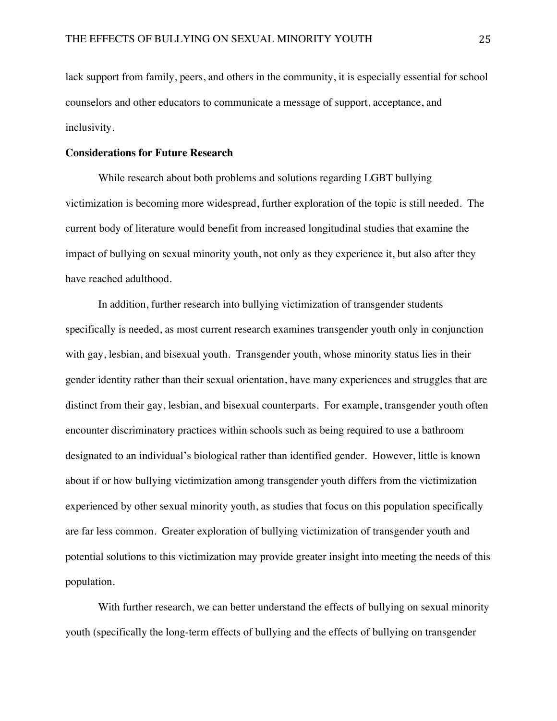lack support from family, peers, and others in the community, it is especially essential for school counselors and other educators to communicate a message of support, acceptance, and inclusivity.

## **Considerations for Future Research**

While research about both problems and solutions regarding LGBT bullying victimization is becoming more widespread, further exploration of the topic is still needed. The current body of literature would benefit from increased longitudinal studies that examine the impact of bullying on sexual minority youth, not only as they experience it, but also after they have reached adulthood.

In addition, further research into bullying victimization of transgender students specifically is needed, as most current research examines transgender youth only in conjunction with gay, lesbian, and bisexual youth. Transgender youth, whose minority status lies in their gender identity rather than their sexual orientation, have many experiences and struggles that are distinct from their gay, lesbian, and bisexual counterparts. For example, transgender youth often encounter discriminatory practices within schools such as being required to use a bathroom designated to an individual's biological rather than identified gender. However, little is known about if or how bullying victimization among transgender youth differs from the victimization experienced by other sexual minority youth, as studies that focus on this population specifically are far less common. Greater exploration of bullying victimization of transgender youth and potential solutions to this victimization may provide greater insight into meeting the needs of this population.

With further research, we can better understand the effects of bullying on sexual minority youth (specifically the long-term effects of bullying and the effects of bullying on transgender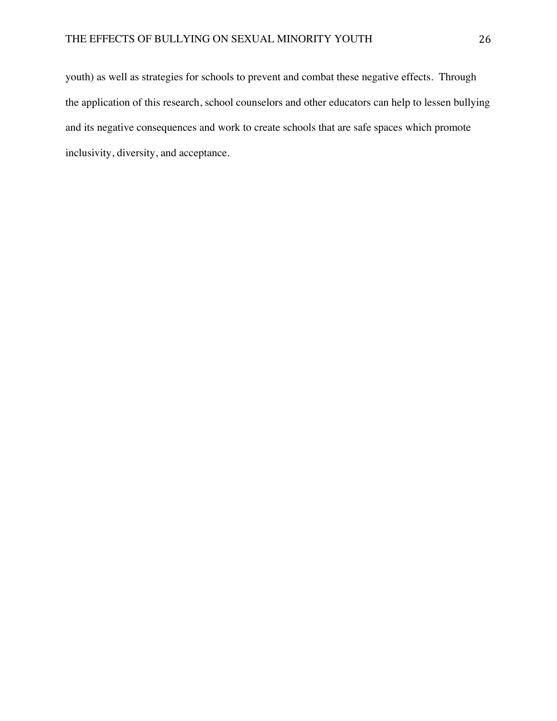youth) as well as strategies for schools to prevent and combat these negative effects. Through the application of this research, school counselors and other educators can help to lessen bullying and its negative consequences and work to create schools that are safe spaces which promote inclusivity, diversity, and acceptance.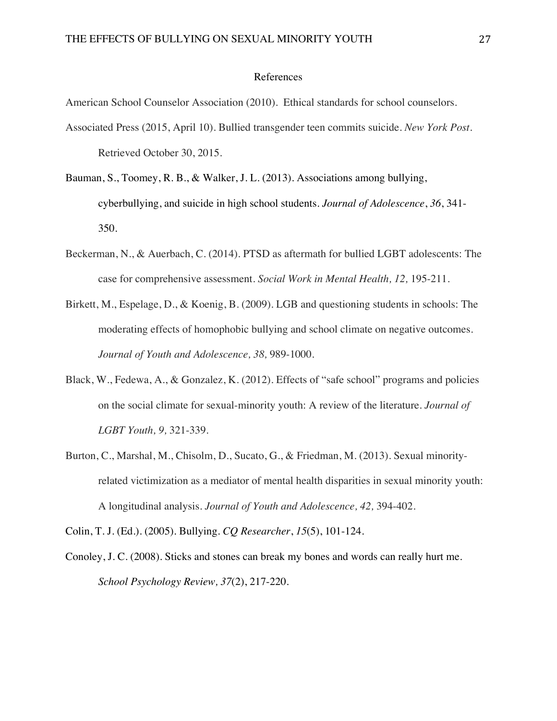## References

American School Counselor Association (2010). Ethical standards for school counselors.

- Associated Press (2015, April 10). Bullied transgender teen commits suicide. *New York Post.*  Retrieved October 30, 2015.
- Bauman, S., Toomey, R. B., & Walker, J. L. (2013). Associations among bullying, cyberbullying, and suicide in high school students. *Journal of Adolescence*, *36*, 341- 350.
- Beckerman, N., & Auerbach, C. (2014). PTSD as aftermath for bullied LGBT adolescents: The case for comprehensive assessment. *Social Work in Mental Health, 12,* 195-211.
- Birkett, M., Espelage, D., & Koenig, B. (2009). LGB and questioning students in schools: The moderating effects of homophobic bullying and school climate on negative outcomes. *Journal of Youth and Adolescence, 38,* 989-1000.
- Black, W., Fedewa, A., & Gonzalez, K. (2012). Effects of "safe school" programs and policies on the social climate for sexual-minority youth: A review of the literature. *Journal of LGBT Youth, 9,* 321-339.
- Burton, C., Marshal, M., Chisolm, D., Sucato, G., & Friedman, M. (2013). Sexual minorityrelated victimization as a mediator of mental health disparities in sexual minority youth: A longitudinal analysis. *Journal of Youth and Adolescence, 42,* 394-402.

Colin, T. J. (Ed.). (2005). Bullying. *CQ Researcher*, *15*(5), 101-124.

Conoley, J. C. (2008). Sticks and stones can break my bones and words can really hurt me. *School Psychology Review, 37*(2), 217-220.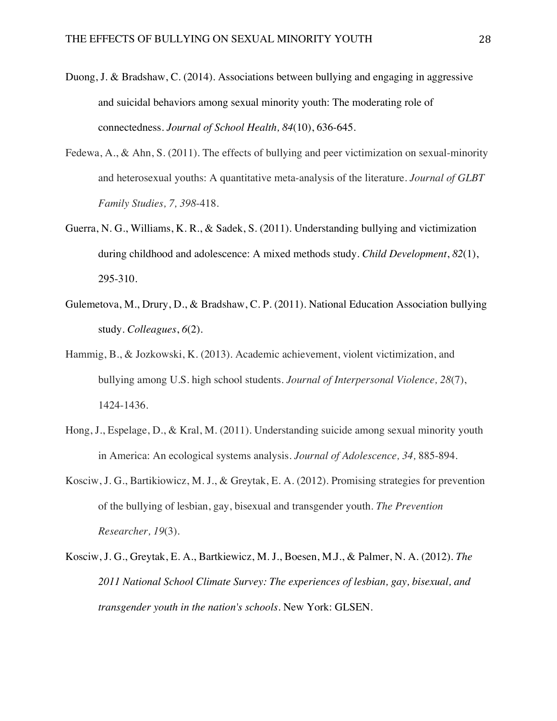- Duong, J. & Bradshaw, C. (2014). Associations between bullying and engaging in aggressive and suicidal behaviors among sexual minority youth: The moderating role of connectedness. *Journal of School Health, 84*(10), 636-645.
- Fedewa, A., & Ahn, S. (2011). The effects of bullying and peer victimization on sexual-minority and heterosexual youths: A quantitative meta-analysis of the literature. *Journal of GLBT Family Studies, 7, 398*-418.
- Guerra, N. G., Williams, K. R., & Sadek, S. (2011). Understanding bullying and victimization during childhood and adolescence: A mixed methods study. *Child Development*, *82*(1), 295-310.
- Gulemetova, M., Drury, D., & Bradshaw, C. P. (2011). National Education Association bullying study. *Colleagues*, *6*(2).
- Hammig, B., & Jozkowski, K. (2013). Academic achievement, violent victimization, and bullying among U.S. high school students. *Journal of Interpersonal Violence, 28*(7), 1424-1436.
- Hong, J., Espelage, D., & Kral, M. (2011). Understanding suicide among sexual minority youth in America: An ecological systems analysis. *Journal of Adolescence, 34,* 885-894.
- Kosciw, J. G., Bartikiowicz, M. J., & Greytak, E. A. (2012). Promising strategies for prevention of the bullying of lesbian, gay, bisexual and transgender youth. *The Prevention Researcher, 19*(3).
- Kosciw, J. G., Greytak, E. A., Bartkiewicz, M. J., Boesen, M.J., & Palmer, N. A. (2012). *The 2011 National School Climate Survey: The experiences of lesbian, gay, bisexual, and transgender youth in the nation's schools.* New York: GLSEN.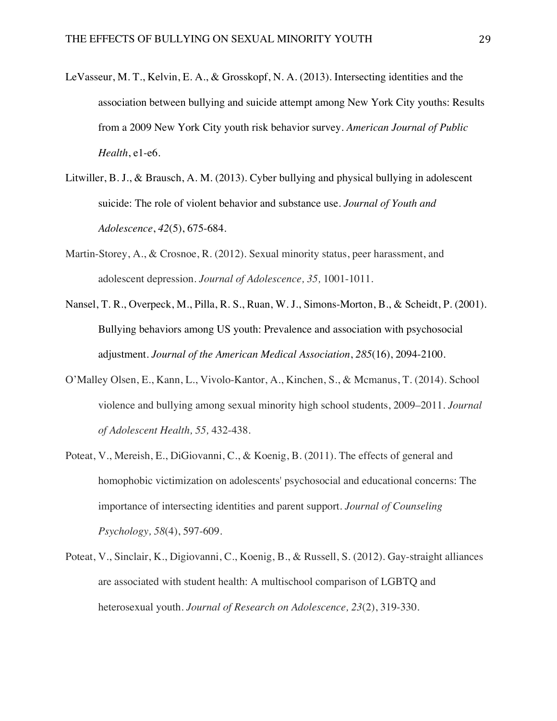- LeVasseur, M. T., Kelvin, E. A., & Grosskopf, N. A. (2013). Intersecting identities and the association between bullying and suicide attempt among New York City youths: Results from a 2009 New York City youth risk behavior survey. *American Journal of Public Health*, e1-e6.
- Litwiller, B. J., & Brausch, A. M. (2013). Cyber bullying and physical bullying in adolescent suicide: The role of violent behavior and substance use. *Journal of Youth and Adolescence*, *42*(5), 675-684.
- Martin-Storey, A., & Crosnoe, R. (2012). Sexual minority status, peer harassment, and adolescent depression. *Journal of Adolescence, 35,* 1001-1011.
- Nansel, T. R., Overpeck, M., Pilla, R. S., Ruan, W. J., Simons-Morton, B., & Scheidt, P. (2001). Bullying behaviors among US youth: Prevalence and association with psychosocial adjustment. *Journal of the American Medical Association*, *285*(16), 2094-2100.
- O'Malley Olsen, E., Kann, L., Vivolo-Kantor, A., Kinchen, S., & Mcmanus, T. (2014). School violence and bullying among sexual minority high school students, 2009–2011. *Journal of Adolescent Health, 55,* 432-438.
- Poteat, V., Mereish, E., DiGiovanni, C., & Koenig, B. (2011). The effects of general and homophobic victimization on adolescents' psychosocial and educational concerns: The importance of intersecting identities and parent support. *Journal of Counseling Psychology, 58*(4), 597-609.
- Poteat, V., Sinclair, K., Digiovanni, C., Koenig, B., & Russell, S. (2012). Gay-straight alliances are associated with student health: A multischool comparison of LGBTQ and heterosexual youth. *Journal of Research on Adolescence, 23*(2), 319-330.